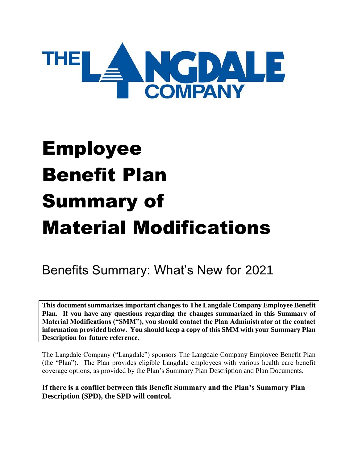

# Employee Benefit Plan Summary of Material Modifications

# Benefits Summary: What's New for 2021

**This document summarizes important changes to The Langdale Company Employee Benefit Plan. If you have any questions regarding the changes summarized in this Summary of Material Modifications ("SMM"), you should contact the Plan Administrator at the contact information provided below. You should keep a copy of this SMM with your Summary Plan Description for future reference.**

The Langdale Company ("Langdale") sponsors The Langdale Company Employee Benefit Plan (the "Plan"). The Plan provides eligible Langdale employees with various health care benefit coverage options, as provided by the Plan's Summary Plan Description and Plan Documents.

**If there is a conflict between this Benefit Summary and the Plan's Summary Plan Description (SPD), the SPD will control.**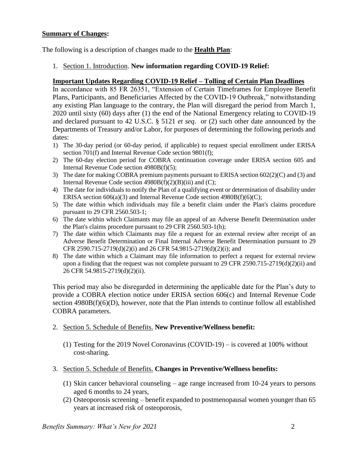### **Summary of Changes:**

The following is a description of changes made to the **Health Plan**:

1. Section 1. Introduction. **New information regarding COVID-19 Relief:**

#### **Important Updates Regarding COVID-19 Relief – Tolling of Certain Plan Deadlines**

In accordance with 85 FR 26351, "Extension of Certain Timeframes for Employee Benefit Plans, Participants, and Beneficiaries Affected by the COVID-19 Outbreak," notwithstanding any existing Plan language to the contrary, the Plan will disregard the period from March 1, 2020 until sixty (60) days after (1) the end of the National Emergency relating to COVID-19 and declared pursuant to 42 U.S.C. § 5121 *et seq.* or (2) such other date announced by the Departments of Treasury and/or Labor, for purposes of determining the following periods and dates:

- 1) The 30-day period (or 60-day period, if applicable) to request special enrollment under ERISA section 701(f) and Internal Revenue Code section 9801(f);
- 2) The 60-day election period for COBRA continuation coverage under ERISA section 605 and Internal Revenue Code section 4980B(f)(5);
- 3) The date for making COBRA premium payments pursuant to ERISA section 602(2)(C) and (3) and Internal Revenue Code section  $4980B(f)(2)(B)(iii)$  and (C);
- 4) The date for individuals to notify the Plan of a qualifying event or determination of disability under ERISA section  $606(a)(3)$  and Internal Revenue Code section  $4980B(f)(6)(C)$ ;
- 5) The date within which individuals may file a benefit claim under the Plan's claims procedure pursuant to 29 CFR 2560.503-1;
- 6) The date within which Claimants may file an appeal of an Adverse Benefit Determination under the Plan's claims procedure pursuant to 29 CFR 2560.503-1(h);
- 7) The date within which Claimants may file a request for an external review after receipt of an Adverse Benefit Determination or Final Internal Adverse Benefit Determination pursuant to 29 CFR 2590.715-2719(d)(2)(i) and 26 CFR 54.9815-2719(d)(2)(i); and
- 8) The date within which a Claimant may file information to perfect a request for external review upon a finding that the request was not complete pursuant to 29 CFR 2590.715-2719(d)(2)(ii) and 26 CFR 54.9815-2719(d)(2)(ii).

This period may also be disregarded in determining the applicable date for the Plan's duty to provide a COBRA election notice under ERISA section 606(c) and Internal Revenue Code section 4980B(f)(6)(D), however, note that the Plan intends to continue follow all established COBRA parameters.

- 2. Section 5. Schedule of Benefits. **New Preventive/Wellness benefit:**
	- (1) Testing for the 2019 Novel Coronavirus (COVID-19) is covered at 100% without cost-sharing.
- 3. Section 5. Schedule of Benefits. **Changes in Preventive/Wellness benefits:**
	- (1) Skin cancer behavioral counseling age range increased from 10-24 years to persons aged 6 months to 24 years,
	- (2) Osteoporosis screening benefit expanded to postmenopausal women younger than 65 years at increased risk of osteoporosis,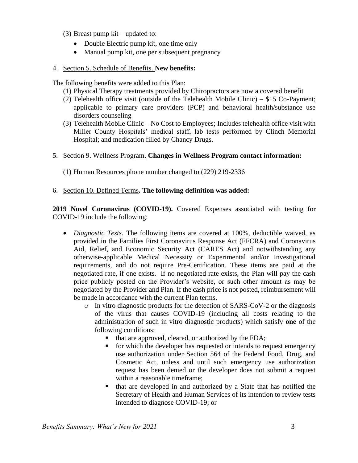- (3) Breast pump kit updated to:
	- Double Electric pump kit, one time only
	- Manual pump kit, one per subsequent pregnancy

### 4. Section 5. Schedule of Benefits. **New benefits:**

The following benefits were added to this Plan:

- (1) Physical Therapy treatments provided by Chiropractors are now a covered benefit
- (2) Telehealth office visit (outside of the Telehealth Mobile Clinic) \$15 Co-Payment; applicable to primary care providers (PCP) and behavioral health/substance use disorders counseling
- (3) Telehealth Mobile Clinic No Cost to Employees; Includes telehealth office visit with Miller County Hospitals' medical staff, lab tests performed by Clinch Memorial Hospital; and medication filled by Chancy Drugs.
- 5. Section 9. Wellness Program. **Changes in Wellness Program contact information:**
	- (1) Human Resources phone number changed to (229) 219-2336

# 6. Section 10. Defined Terms**. The following definition was added:**

**2019 Novel Coronavirus (COVID-19).** Covered Expenses associated with testing for COVID-19 include the following:

- *Diagnostic Tests.* The following items are covered at 100%, deductible waived, as provided in the Families First Coronavirus Response Act (FFCRA) and Coronavirus Aid, Relief, and Economic Security Act (CARES Act) and notwithstanding any otherwise-applicable Medical Necessity or Experimental and/or Investigational requirements, and do not require Pre-Certification. These items are paid at the negotiated rate, if one exists. If no negotiated rate exists, the Plan will pay the cash price publicly posted on the Provider's website, or such other amount as may be negotiated by the Provider and Plan. If the cash price is not posted, reimbursement will be made in accordance with the current Plan terms.
	- o In vitro diagnostic products for the detection of SARS-CoV-2 or the diagnosis of the virus that causes COVID-19 (including all costs relating to the administration of such in vitro diagnostic products) which satisfy **one** of the following conditions:
		- that are approved, cleared, or authorized by the FDA;
		- for which the developer has requested or intends to request emergency use authorization under Section 564 of the Federal Food, Drug, and Cosmetic Act, unless and until such emergency use authorization request has been denied or the developer does not submit a request within a reasonable timeframe;
		- that are developed in and authorized by a State that has notified the Secretary of Health and Human Services of its intention to review tests intended to diagnose COVID-19; or